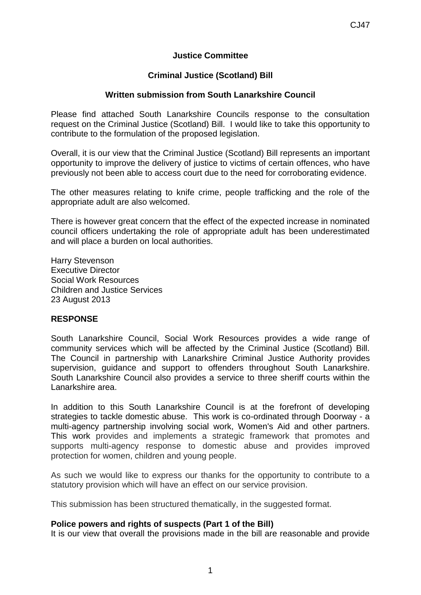# **Justice Committee**

# **Criminal Justice (Scotland) Bill**

## **Written submission from South Lanarkshire Council**

Please find attached South Lanarkshire Councils response to the consultation request on the Criminal Justice (Scotland) Bill. I would like to take this opportunity to contribute to the formulation of the proposed legislation.

Overall, it is our view that the Criminal Justice (Scotland) Bill represents an important opportunity to improve the delivery of justice to victims of certain offences, who have previously not been able to access court due to the need for corroborating evidence.

The other measures relating to knife crime, people trafficking and the role of the appropriate adult are also welcomed.

There is however great concern that the effect of the expected increase in nominated council officers undertaking the role of appropriate adult has been underestimated and will place a burden on local authorities.

Harry Stevenson Executive Director Social Work Resources Children and Justice Services 23 August 2013

### **RESPONSE**

South Lanarkshire Council, Social Work Resources provides a wide range of community services which will be affected by the Criminal Justice (Scotland) Bill. The Council in partnership with Lanarkshire Criminal Justice Authority provides supervision, guidance and support to offenders throughout South Lanarkshire. South Lanarkshire Council also provides a service to three sheriff courts within the Lanarkshire area.

In addition to this South Lanarkshire Council is at the forefront of developing strategies to tackle domestic abuse. This work is co-ordinated through Doorway - a multi-agency partnership involving social work, Women's Aid and other partners. This work provides and implements a strategic framework that promotes and supports multi-agency response to domestic abuse and provides improved protection for women, children and young people.

As such we would like to express our thanks for the opportunity to contribute to a statutory provision which will have an effect on our service provision.

This submission has been structured thematically, in the suggested format.

### **Police powers and rights of suspects (Part 1 of the Bill)**

It is our view that overall the provisions made in the bill are reasonable and provide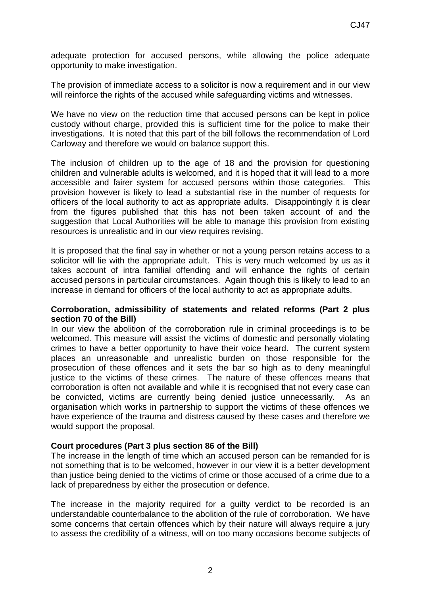adequate protection for accused persons, while allowing the police adequate opportunity to make investigation.

The provision of immediate access to a solicitor is now a requirement and in our view will reinforce the rights of the accused while safeguarding victims and witnesses.

We have no view on the reduction time that accused persons can be kept in police custody without charge, provided this is sufficient time for the police to make their investigations. It is noted that this part of the bill follows the recommendation of Lord Carloway and therefore we would on balance support this.

The inclusion of children up to the age of 18 and the provision for questioning children and vulnerable adults is welcomed, and it is hoped that it will lead to a more accessible and fairer system for accused persons within those categories. This provision however is likely to lead a substantial rise in the number of requests for officers of the local authority to act as appropriate adults. Disappointingly it is clear from the figures published that this has not been taken account of and the suggestion that Local Authorities will be able to manage this provision from existing resources is unrealistic and in our view requires revising.

It is proposed that the final say in whether or not a young person retains access to a solicitor will lie with the appropriate adult. This is very much welcomed by us as it takes account of intra familial offending and will enhance the rights of certain accused persons in particular circumstances. Again though this is likely to lead to an increase in demand for officers of the local authority to act as appropriate adults.

#### **Corroboration, admissibility of statements and related reforms (Part 2 plus section 70 of the Bill)**

In our view the abolition of the corroboration rule in criminal proceedings is to be welcomed. This measure will assist the victims of domestic and personally violating crimes to have a better opportunity to have their voice heard. The current system places an unreasonable and unrealistic burden on those responsible for the prosecution of these offences and it sets the bar so high as to deny meaningful justice to the victims of these crimes. The nature of these offences means that corroboration is often not available and while it is recognised that not every case can be convicted, victims are currently being denied justice unnecessarily. As an organisation which works in partnership to support the victims of these offences we have experience of the trauma and distress caused by these cases and therefore we would support the proposal.

### **Court procedures (Part 3 plus section 86 of the Bill)**

The increase in the length of time which an accused person can be remanded for is not something that is to be welcomed, however in our view it is a better development than justice being denied to the victims of crime or those accused of a crime due to a lack of preparedness by either the prosecution or defence.

The increase in the majority required for a guilty verdict to be recorded is an understandable counterbalance to the abolition of the rule of corroboration. We have some concerns that certain offences which by their nature will always require a jury to assess the credibility of a witness, will on too many occasions become subjects of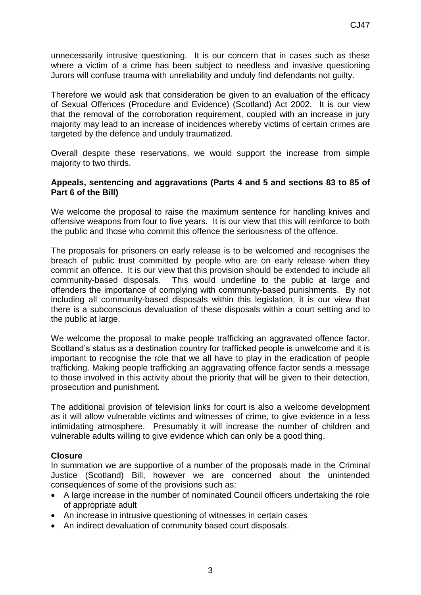unnecessarily intrusive questioning. It is our concern that in cases such as these where a victim of a crime has been subject to needless and invasive questioning Jurors will confuse trauma with unreliability and unduly find defendants not guilty.

Therefore we would ask that consideration be given to an evaluation of the efficacy of Sexual Offences (Procedure and Evidence) (Scotland) Act 2002. It is our view that the removal of the corroboration requirement, coupled with an increase in jury majority may lead to an increase of incidences whereby victims of certain crimes are targeted by the defence and unduly traumatized.

Overall despite these reservations, we would support the increase from simple majority to two thirds.

#### **Appeals, sentencing and aggravations (Parts 4 and 5 and sections 83 to 85 of Part 6 of the Bill)**

We welcome the proposal to raise the maximum sentence for handling knives and offensive weapons from four to five years. It is our view that this will reinforce to both the public and those who commit this offence the seriousness of the offence.

The proposals for prisoners on early release is to be welcomed and recognises the breach of public trust committed by people who are on early release when they commit an offence. It is our view that this provision should be extended to include all community-based disposals. This would underline to the public at large and offenders the importance of complying with community-based punishments. By not including all community-based disposals within this legislation, it is our view that there is a subconscious devaluation of these disposals within a court setting and to the public at large.

We welcome the proposal to make people trafficking an aggravated offence factor. Scotland's status as a destination country for trafficked people is unwelcome and it is important to recognise the role that we all have to play in the eradication of people trafficking. Making people trafficking an aggravating offence factor sends a message to those involved in this activity about the priority that will be given to their detection, prosecution and punishment.

The additional provision of television links for court is also a welcome development as it will allow vulnerable victims and witnesses of crime, to give evidence in a less intimidating atmosphere. Presumably it will increase the number of children and vulnerable adults willing to give evidence which can only be a good thing.

### **Closure**

In summation we are supportive of a number of the proposals made in the Criminal Justice (Scotland) Bill, however we are concerned about the unintended consequences of some of the provisions such as:

- A large increase in the number of nominated Council officers undertaking the role of appropriate adult
- An increase in intrusive questioning of witnesses in certain cases
- An indirect devaluation of community based court disposals.